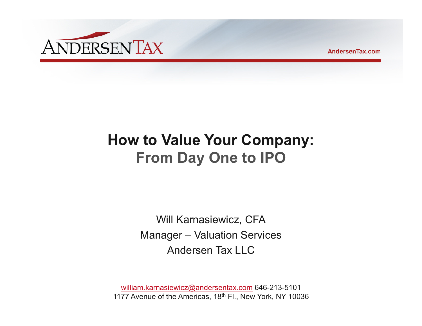

**AndersenTax.com** 

# **How to Value Your Company: From Day One to IPO**

Will Karnasiewicz, CFA Manager – Valuation Services Andersen Tax LLC

william.karnasiewicz@andersentax.com 646-213-5101 1177 Avenue of the Americas, 18<sup>th</sup> Fl., New York, NY 10036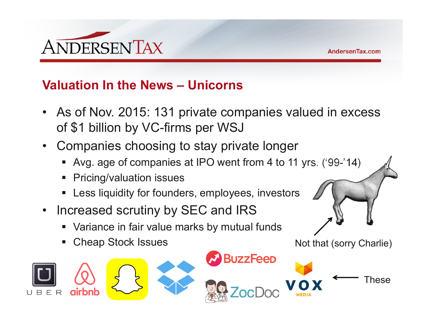

Not that (sorry Charlie)

#### **Valuation In the News – Unicorns**

- As of Nov. 2015: 131 private companies valued in excess of \$1 billion by VC-firms per WSJ
- Companies choosing to stay private longer
	- Avg. age of companies at IPO went from 4 to 11 yrs. ('99-'14)
	- Pricing/valuation issues
	- **EXT** Less liquidity for founders, employees, investors
- $\bullet$  Increased scrutiny by SEC and IRS
	- Variance in fair value marks by mutual funds
	- I. Cheap Stock Issues

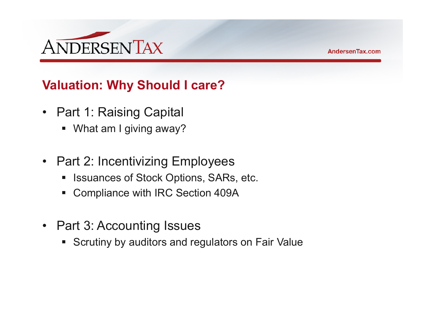

# **Valuation: Why Should I care?**

- Part 1: Raising Capital
	- What am I giving away?
- $\bullet$  Part 2: Incentivizing Employees
	- Issuances of Stock Options, SARs, etc.
	- Compliance with IRC Section 409A
- Part 3: Accounting Issues
	- **Scrutiny by auditors and regulators on Fair Value**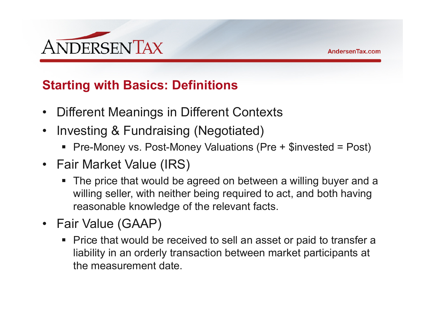

# **Starting with Basics: Definitions**

- $\bullet$ Different Meanings in Different Contexts
- $\bullet$  Investing & Fundraising (Negotiated)
	- Pre-Money vs. Post-Money Valuations (Pre + \$invested = Post)
- Fair Market Value (IRS)
	- The price that would be agreed on between a willing buyer and a willing seller, with neither being required to act, and both having reasonable knowledge of the relevant facts.
- Fair Value (GAAP)
	- Price that would be received to sell an asset or paid to transfer a liability in an orderly transaction between market participants at the measurement date.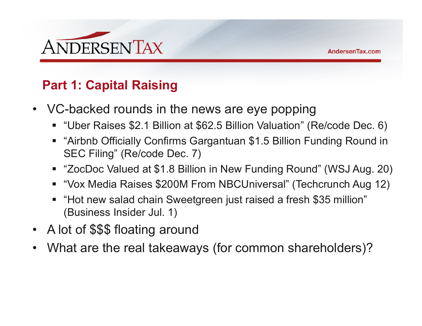

# **Part 1: Capital Raising**

- • VC-backed rounds in the news are eye popping
	- "Uber Raises \$2.1 Billion at \$62.5 Billion Valuation" (Re/code Dec. 6)
	- "Airbnb Officially Confirms Gargantuan \$1.5 Billion Funding Round in SEC Filing" (Re/code Dec. 7)
	- "ZocDoc Valued at \$1.8 Billion in New Funding Round" (WSJ Aug. 20)
	- "Vox Media Raises \$200M From NBCUniversal" (Techcrunch Aug 12)
	- "Hot new salad chain Sweetgreen just raised a fresh \$35 million" (Business Insider Jul. 1)
- •A lot of \$\$\$ floating around
- •What are the real takeaways (for common shareholders)?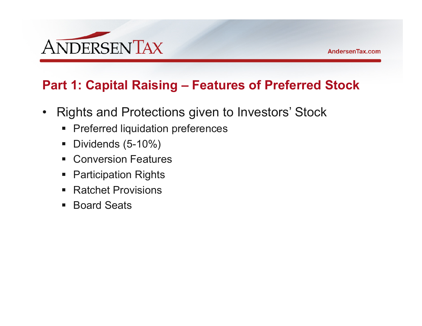

# **Part 1: Capital Raising – Features of Preferred Stock**

- $\bullet$  Rights and Protections given to Investors' Stock
	- **Preferred liquidation preferences**
	- Dividends (5-10%)
	- **Example 25 Conversion Features**
	- Participation Rights
	- Ratchet Provisions
	- Board Seats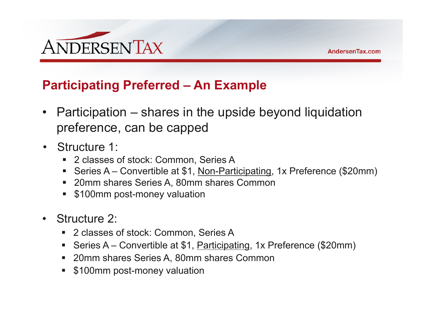

#### **Participating Preferred – An Example**

- $\bullet$  Participation – shares in the upside beyond liquidation preference, can be capped
- Structure 1:
	- 2 classes of stock: Common, Series A
	- Series A Convertible at \$1, Non-Participating, 1x Preference (\$20mm)
	- 20mm shares Series A, 80mm shares Common
	- **5100mm post-money valuation**
- $\bullet$  Structure 2:
	- 2 classes of stock: Common, Series A
	- Series A Convertible at \$1, Participating, 1x Preference (\$20mm)
	- 20mm shares Series A, 80mm shares Common
	- **5100mm post-money valuation**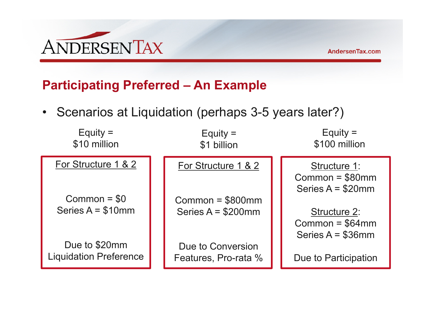

# **Participating Preferred – An Example**

• Scenarios at Liquidation (perhaps 3-5 years later?)

| Equity $=$<br>\$10 million                     | Equity $=$<br>\$1 billion                 | Equity $=$<br>\$100 million                                    |
|------------------------------------------------|-------------------------------------------|----------------------------------------------------------------|
| For Structure 1 & 2<br>$Common = $0$           | For Structure 1 & 2<br>$Common = $800mm$  | Structure 1:<br>Common = $$80mm$<br>Series $A = $20$ mm        |
| Series $A = $10$ mm                            | Series $A = $200$ mm                      | <b>Structure 2:</b><br>Common = $$64mm$<br>Series $A = $36$ mm |
| Due to \$20mm<br><b>Liquidation Preference</b> | Due to Conversion<br>Features, Pro-rata % | Due to Participation                                           |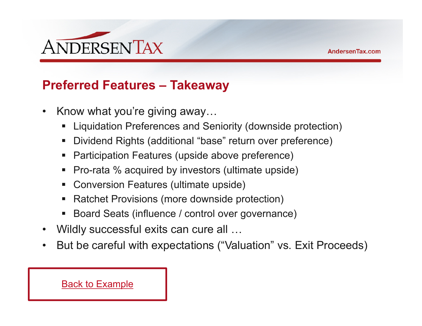

#### **Preferred Features – Takeaway**

- $\bullet$  Know what you're giving away…
	- Liquidation Preferences and Seniority (downside protection)
	- Dividend Rights (additional "base" return over preference)
	- **Service Service** Participation Features (upside above preference)
	- Pro-rata % acquired by investors (ultimate upside)
	- Conversion Features (ultimate upside)
	- Ratchet Provisions (more downside protection)
	- Board Seats (influence / control over governance)
- $\bullet$ Wildly successful exits can cure all …
- $\bullet$ But be careful with expectations ("Valuation" vs. Exit Proceeds)

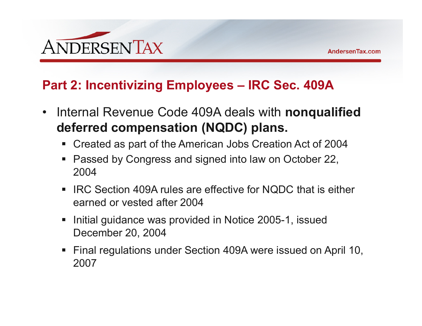

#### **Part 2: Incentivizing Employees – IRC Sec. 409A**

- $\bullet$  Internal Revenue Code 409A deals with **nonqualified deferred compensation (NQDC) plans.**
	- Created as part of the American Jobs Creation Act of 2004
	- Passed by Congress and signed into law on October 22, 2004
	- IRC Section 409A rules are effective for NQDC that is either earned or vested after 2004
	- Initial guidance was provided in Notice 2005-1, issued December 20, 2004
	- Final regulations under Section 409A were issued on April 10, 2007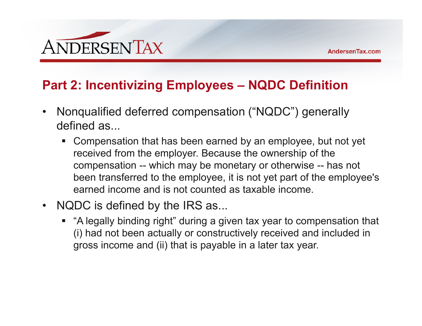

#### **Part 2: Incentivizing Employees – NQDC Definition**

- $\bullet$  Nonqualified deferred compensation ("NQDC") generally defined as...
	- Compensation that has been earned by an employee, but not yet received from the employer. Because the ownership of the compensation -- which may be monetary or otherwise -- has not been transferred to the employee, it is not yet part of the employee's earned income and is not counted as taxable income.
- $\bullet$  NQDC is defined by the IRS as...
	- "A legally binding right" during a given tax year to compensation that (i) had not been actually or constructively received and included in gross income and (ii) that is payable in a later tax year.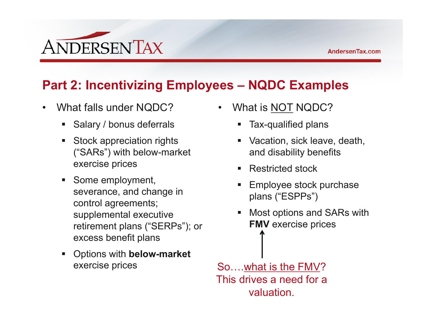

# **Part 2: Incentivizing Employees – NQDC Examples**

- $\bullet$  What falls under NQDC?
	- **Salary / bonus deferrals**
	- **Stock appreciation rights** ("SARs") with below-market exercise prices
	- **Some employment,** severance, and change in control agreements; supplemental executive retirement plans ("SERPs"); or excess benefit plans
	- Options with **below-market** exercise prices
- • What is NOT NQDC?
	- **Tax-qualified plans**
	- Vacation, sick leave, death, and disability benefits
	- Restricted stock
	- Employee stock purchase plans ("ESPPs")
	- $\mathcal{L}_{\mathcal{A}}$  Most options and SARs with **FMV** exercise prices

So….what is the FMV? This drives a need for a valuation.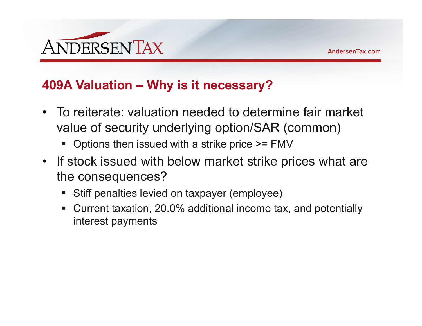

#### **409A Valuation – Why is it necessary?**

- To reiterate: valuation needed to determine fair market value of security underlying option/SAR (common)
	- Options then issued with a strike price >= FMV
- If stock issued with below market strike prices what are the consequences?
	- Stiff penalties levied on taxpayer (employee)
	- Current taxation, 20.0% additional income tax, and potentially interest payments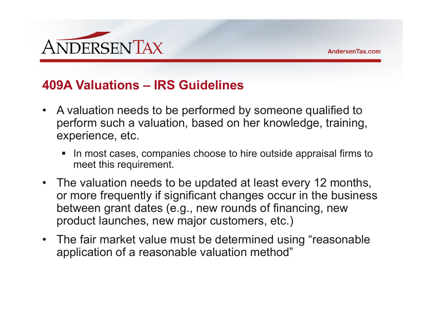

#### **409A Valuations – IRS Guidelines**

- A valuation needs to be performed by someone qualified to perform such a valuation, based on her knowledge, training, experience, etc.
	- In most cases, companies choose to hire outside appraisal firms to meet this requirement.
- The valuation needs to be updated at least every 12 months, or more frequently if significant changes occur in the business between grant dates (e.g., new rounds of financing, new product launches, new major customers, etc.)
- The fair market value must be determined using "reasonable application of a reasonable valuation method"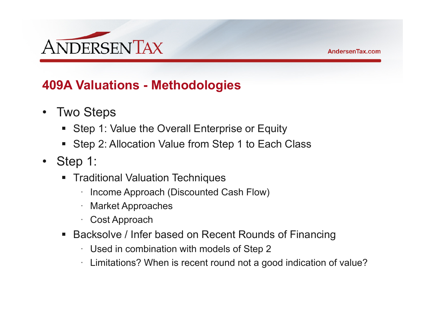

# **409A Valuations - Methodologies**

- $\bullet$  Two Steps
	- Step 1: Value the Overall Enterprise or Equity
	- Step 2: Allocation Value from Step 1 to Each Class
- Step 1:
	- Traditional Valuation Techniques
		- ·Income Approach (Discounted Cash Flow)
		- ·Market Approaches
		- · Cost Approach
	- Backsolve / Infer based on Recent Rounds of Financing
		- · Used in combination with models of Step 2
		- · Limitations? When is recent round not a good indication of value?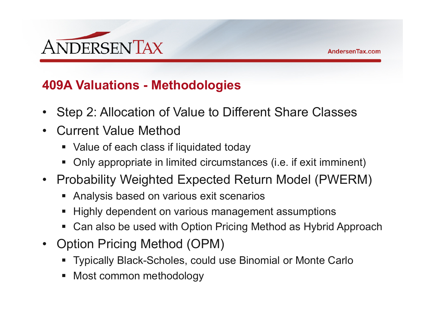

#### **409A Valuations - Methodologies**

- $\bullet$ Step 2: Allocation of Value to Different Share Classes
- $\bullet$  Current Value Method
	- Value of each class if liquidated today
	- Only appropriate in limited circumstances (i.e. if exit imminent)
- Probability Weighted Expected Return Model (PWERM)
	- Analysis based on various exit scenarios
	- $\;\blacksquare\;$  Highly dependent on various management assumptions
	- Can also be used with Option Pricing Method as Hybrid Approach
- • Option Pricing Method (OPM)
	- Typically Black-Scholes, could use Binomial or Monte Carlo
	- Most common methodology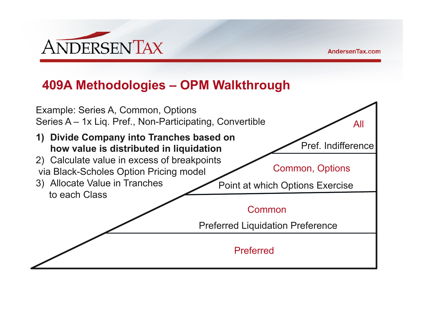

# **409A Methodologies – OPM Walkthrough**

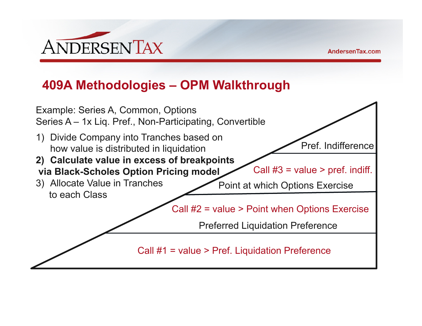

# **409A Methodologies – OPM Walkthrough**

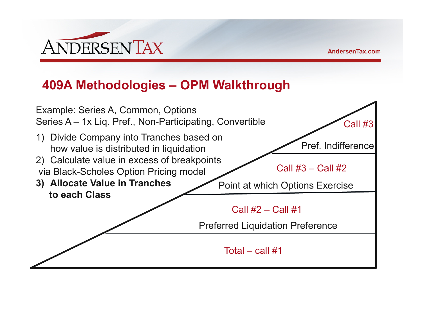

### **409A Methodologies – OPM Walkthrough**

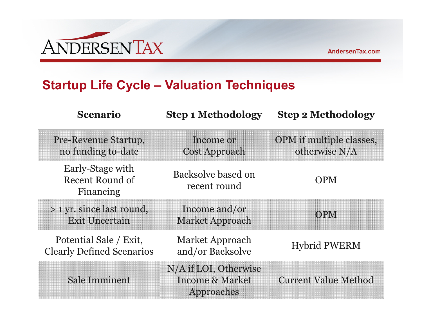

#### **Startup Life Cycle – Valuation Techniques**

| <b>Scenario</b>                                            | <b>Step 1 Methodology</b>                                         | <b>Step 2 Methodology</b>                        |
|------------------------------------------------------------|-------------------------------------------------------------------|--------------------------------------------------|
| <b>Pre-Revenue Startup,</b><br>no funding to-date          | Income or<br><b>Cost Approach</b>                                 | <b>OPM</b> if multiple classes,<br>otherwise N/A |
| Early-Stage with<br>Recent Round of<br>Financing           | Backsolve based on<br>recent round                                | <b>OPM</b>                                       |
| > 1 yr. since last round,<br><b>Exit Uncertain</b>         | Income and/or<br><b>Market Approach</b>                           | <b>OPM</b>                                       |
| Potential Sale / Exit,<br><b>Clearly Defined Scenarios</b> | Market Approach<br>and/or Backsolve                               | <b>Hybrid PWERM</b>                              |
| <b>Sale Imminent</b>                                       | N/A if LOI, Otherwise<br><b>Income &amp; Market</b><br>Approaches | <b>Current Value Method</b>                      |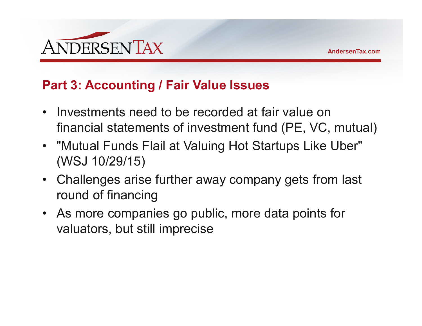

#### **Part 3: Accounting / Fair Value Issues**

- Investments need to be recorded at fair value on financial statements of investment fund (PE, VC, mutual)
- "Mutual Funds Flail at Valuing Hot Startups Like Uber" (WSJ 10/29/15)
- Challenges arise further away company gets from last round of financing
- As more companies go public, more data points for valuators, but still imprecise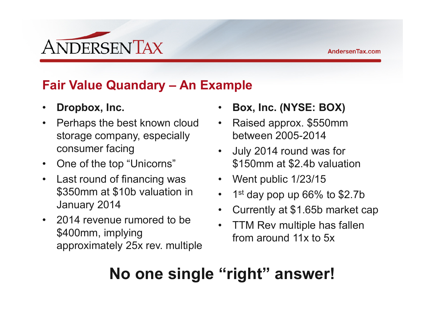

# **Fair Value Quandary – An Example**

- $\bullet$ **Dropbox, Inc.**
- $\bullet$  Perhaps the best known cloud storage company, especially consumer facing
- $\bullet$ One of the top "Unicorns"
- $\bullet$  Last round of financing was \$350mm at \$10b valuation in January 2014
- 2014 revenue rumored to be \$400mm, implying approximately 25x rev. multiple
- •**Box, Inc. (NYSE: BOX)**
- Raised approx. \$550mm between 2005-2014
- July 2014 round was for \$150mm at \$2.4b valuation
- Went public 1/23/15
- •1st day pop up 66% to \$2.7b
- $\bullet$ Currently at \$1.65b market cap
- • TTM Rev multiple has fallen from around 11x to 5x

# **No one single "right" answer!**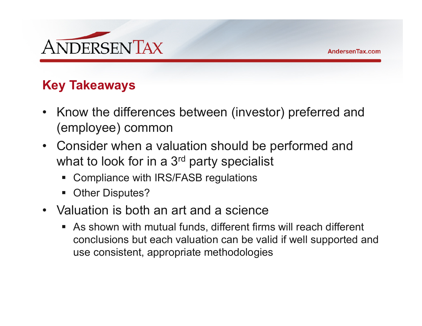

# **Key Takeaways**

- Know the differences between (investor) preferred and (employee) common
- Consider when a valuation should be performed and what to look for in a 3<sup>rd</sup> party specialist
	- Compliance with IRS/FASB regulations
	- Other Disputes?
- Valuation is both an art and a science
	- As shown with mutual funds, different firms will reach different conclusions but each valuation can be valid if well supported and use consistent, appropriate methodologies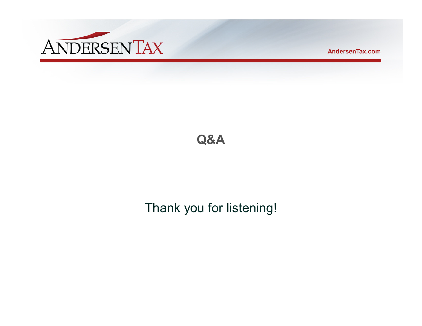

AndersenTax.com

# **Q&A**

# Thank you for listening!